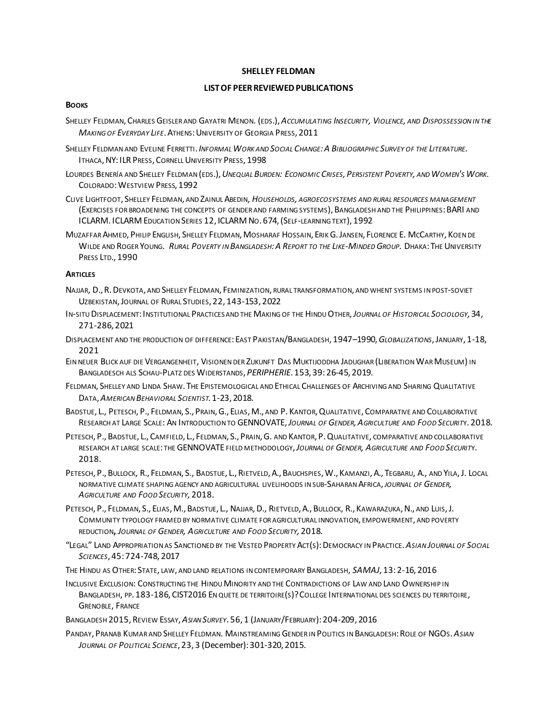#### **SHELLEY FELDMAN**

# **LISTOF PEERREVIEWEDPUBLICATIONS**

### **BOOKS**

- SHELLEY FELDMAN, CHARLES GEISLER AND GAYATRI MENON. (EDS.),*ACCUMULATING INSECURITY, VIOLENCE, AND DISPOSSESSION IN THE MAKING OF EVERYDAY LIFE*.ATHENS:UNIVERSITY OF GEORGIA PRESS, 2011
- SHELLEY FELDMAN AND EVELINE FERRETTI. *INFORMAL WORK AND SOCIAL CHANGE:A BIBLIOGRAPHIC SURVEY OF THE LITERATURE.* ITHACA,NY:ILR PRESS, CORNELL UNIVERSITY PRESS, 1998
- LOURDES BENERÍA AND SHELLEY FELDMAN (EDS.), UNEQUAL BURDEN: ECONOMIC CRISES, PERSISTENT POVERTY, AND WOMEN'S WORK. COLORADO:WESTVIEW PRESS, 1992
- CLIVE LIGHTFOOT, SHELLEY FELDMAN, AND ZAINUL ABEDIN, *HOUSEHOLDS, AGROECOSYSTEMS AND RURAL RESOURCES MANAGEMENT* (EXERCISES FOR BROADENING THE CONCEPTS OF GENDER AND FARMING SYSTEMS),BANGLADESH AND THE PHILIPPINES:BARI AND ICLARM. ICLARM EDUCATION SERIES 12, ICLARM NO. 674,(SELF-LEARNING TEXT), 1992
- MUZAFFAR AHMED, PHILIP ENGLISH, SHELLEY FELDMAN, MOSHARAF HOSSAIN, ERIK G. JANSEN, FLORENCE E. MCCARTHY, KOEN DE WILDE AND ROGER YOUNG. *RURAL POVERTY IN BANGLADESH:A REPORT TO THE LIKE-MINDED GROUP*. DHAKA:THE UNIVERSITY PRESS LTD., 1990

## **ARTICLES**

- NAJJAR, D., R.DEVKOTA, AND SHELLEY FELDMAN, FEMINIZATION, RURAL TRANSFORMATION, AND WHENT SYSTEMS IN POST-SOVIET UZBEKISTAN,JOURNAL OF RURAL STUDIES, 22, 143-153, 2022
- IN-SITU DISPLACEMENT:INSTITUTIONAL PRACTICES AND THE MAKING OF THE HINDU OTHER,*JOURNAL OF HISTORICAL SOCIOLOGY,* 34, 271-286, 2021
- DISPLACEMENT AND THE PRODUCTION OF DIFFERENCE:EAST PAKISTAN/BANGLADESH, 1947–1990,*GLOBALIZATIONS*,JANUARY, 1-18, 2021
- EIN NEUER BLICK AUF DIE VERGANGENHEIT, VISIONEN DER ZUKUNFT DAS MUKTIJODDHA JADUGHAR (LIBERATION WAR MUSEUM) IN BANGLADESCH ALS SCHAU-PLATZ DES WIDERSTANDS, *PERIPHERIE*. 153, 39: 26-45, 2019.
- FELDMAN, SHELLEY AND LINDA SHAW. THE EPISTEMOLOGICAL AND ETHICAL CHALLENGES OF ARCHIVING AND SHARING QUALITATIVE DATA,*AMERICAN BEHAVIORAL SCIENTIST*. 1-23, 2018.
- BADSTUE, L., PETESCH, P., FELDMAN, S., PRAIN, G., ELIAS, M., AND P. KANTOR, QUALITATIVE, COMPARATIVE AND COLLABORATIVE RESEARCH AT LARGE SCALE: AN INTRODUCTION TO GENNOVATE,*JOURNAL OF GENDER,AGRICULTURE AND FOOD SECURIT*Y. 2018.
- PETESCH, P., BADSTUE, L., CAMFIELD, L., FELDMAN, S., PRAIN, G. AND KANTOR, P. QUALITATIVE, COMPARATIVE AND COLLABORATIVE RESEARCH AT LARGE SCALE: THE GENNOVATE FIELD METHODOLOGY,*JOURNAL OF GENDER, AGRICULTURE AND FOOD SECURIT*Y. 2018.
- PETESCH, P., BULLOCK, R., FELDMAN, S., BADSTUE, L., RIETVELD, A., BAUCHSPIES, W., KAMANZI, A., TEGBARU, A., AND YILA, J. LOCAL NORMATIVE CLIMATE SHAPING AGENCY AND AGRICULTURAL LIVELIHOODS IN SUB-SAHARAN AFRICA, *JOURNAL OF GENDER, AGRICULTURE AND FOOD SECURITY,* 2018.
- PETESCH, P., FELDMAN, S., ELIAS, M., BADSTUE, L., NAJJAR, D., RIETVELD, A., BULLOCK, R., KAWARAZUKA, N., AND LUIS, J. COMMUNITY TYPOLOGY FRAMED BY NORMATIVE CLIMATE FOR AGRICULTURAL INNOVATION, EMPOWERMENT, AND POVERTY REDUCTION**,** *JOURNAL OF GENDER, AGRICULTURE AND FOOD SECURITY,* 2018.
- "LEGAL" LAND APPROPRIATION AS SANCTIONED BY THE VESTED PROPERTY ACT(S):DEMOCRACY IN PRACTICE.*ASIAN JOURNAL OF SOCIAL SCIENCES*, 45:724-748, 2017
- THE HINDU AS OTHER: STATE, LAW, AND LAND RELATIONS IN CONTEMPORARY BANGLADESH, *SAMAJ*, 13:2-16, 2016
- INCLUSIVE EXCLUSION: CONSTRUCTING THE HINDU MINORITY AND THE CONTRADICTIONS OF LAW AND LAND OWNERSHIP IN BANGLADESH, PP. 183-186, CIST2016 EN QUETE DE TERRITOIRE(S)?COLLEGE INTERNATIONAL DES SCIENCES DU TERRITOIRE, GRENOBLE, FRANCE
- BANGLADESH 2015, REVIEW ESSAY,*ASIAN SURVEY*. 56, 1 (JANUARY/FEBRUARY):204-209, 2016
- PANDAY, PRANAB KUMAR AND SHELLEY FELDMAN. MAINSTREAMING GENDER IN POLITICS IN BANGLADESH: ROLE OF NGOS. ASIAN *JOURNAL OF POLITICAL SCIENCE*, 23, 3 (December): 301-320, 2015.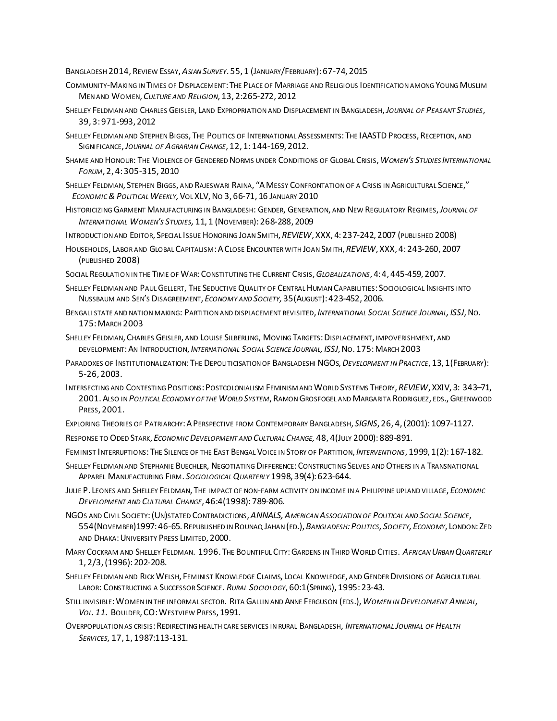BANGLADESH 2014, REVIEW ESSAY,*ASIAN SURVEY*. 55, 1 (JANUARY/FEBRUARY):67-74, 2015

- COMMUNITY-MAKING IN TIMES OF DISPLACEMENT:THE PLACE OF MARRIAGE AND RELIGIOUS IDENTIFICATION AMONG YOUNG MUSLIM MEN AND WOMEN, *CULTURE AND RELIGION*, 13, 2:265-272, 2012
- SHELLEY FELDMAN AND CHARLES GEISLER, LAND EXPROPRIATION AND DISPLACEMENT IN BANGLADESH,*JOURNAL OF PEASANT STUDIES*, 39, 3:971-993, 2012
- SHELLEY FELDMAN AND STEPHEN BIGGS, THE POLITICS OF INTERNATIONAL ASSESSMENTS:THE IAASTD PROCESS,RECEPTION, AND SIGNIFICANCE,*JOURNAL OF AGRARIAN CHANGE*, 12, 1:144-169, 2012.
- SHAME AND HONOUR: THE VIOLENCE OF GENDERED NORMS UNDER CONDITIONS OF GLOBAL CRISIS,*WOMEN'S STUDIES INTERNATIONAL FORUM*, 2, 4:305-315, 2010
- SHELLEY FELDMAN, STEPHEN BIGGS, AND RAJESWARI RAINA, "AMESSY CONFRONTATION OF A CRISIS IN AGRICULTURAL SCIENCE," *ECONOMIC &POLITICAL WEEKLY,*VOL XLV,NO 3, 66-71, 16 JANUARY 2010
- HISTORICIZING GARMENT MANUFACTURING IN BANGLADESH: GENDER, GENERATION, AND NEW REGULATORY REGIMES,*JOURNAL OF INTERNATIONAL WOMEN'S STUDIES,* 11, 1 (NOVEMBER):268-288, 2009
- INTRODUCTION AND EDITOR, SPECIAL ISSUE HONORING JOAN SMITH,*REVIEW*, XXX, 4:237-242, 2007 (PUBLISHED 2008)
- HOUSEHOLDS, LABOR AND GLOBAL CAPITALISM:ACLOSE ENCOUNTER WITH JOAN SMITH,*REVIEW*, XXX, 4:243-260, 2007 (PUBLISHED 2008)
- SOCIAL REGULATION IN THE TIME OF WAR:CONSTITUTING THE CURRENT CRISIS,*GLOBALIZATIONS*, 4:4, 445-459, 2007.
- SHELLEY FELDMAN AND PAUL GELLERT, THE SEDUCTIVE QUALITY OF CENTRAL HUMAN CAPABILITIES: SOCIOLOGICAL INSIGHTS INTO NUSSBAUM AND SEN'S DISAGREEMENT, *ECONOMY AND SOCIETY,* 35(AUGUST):423-452, 2006.
- BENGALI STATE AND NATION MAKING: PARTITION AND DISPLACEMENT REVISITED, *INTERNATIONAL SOCIAL SCIENCE JOURNAL, ISSJ*,NO. 175:MARCH 2003
- SHELLEY FELDMAN, CHARLES GEISLER, AND LOUISE SILBERLING, MOVING TARGETS: DISPLACEMENT, IMPOVERISHMENT, AND DEVELOPMENT:AN INTRODUCTION, *INTERNATIONAL SOCIAL SCIENCE JOURNAL, ISSJ*,NO. 175:MARCH 2003
- PARADOXES OF INSTITUTIONALIZATION:THE DEPOLITICISATION OF BANGLADESHI NGOS,*DEVELOPMENT IN PRACTICE*, 13, 1(FEBRUARY): 5-26, 2003.
- INTERSECTING AND CONTESTING POSITIONS:POSTCOLONIALISM FEMINISM AND WORLD SYSTEMS THEORY,*REVIEW*, XXIV, 3: 343–71, 2001.ALSO IN *POLITICAL ECONOMY OF THE WORLD SYSTEM*, RAMON GROSFOGEL AND MARGARITA RODRIGUEZ, EDS.,GREENWOOD PRESS, 2001.
- EXPLORING THEORIES OF PATRIARCHY:APERSPECTIVE FROM CONTEMPORARY BANGLADESH, *SIGNS*, 26, 4,(2001):1097-1127.
- RESPONSE TO ODED STARK, *ECONOMIC DEVELOPMENT AND CULTURAL CHANGE,* 48, 4(JULY 2000):889-891.
- FEMINIST INTERRUPTIONS:THE SILENCE OF THE EAST BENGAL VOICE IN STORY OF PARTITION, *INTERVENTIONS*, 1999, 1(2):167-182.
- SHELLEY FELDMAN AND STEPHANIE BUECHLER, NEGOTIATING DIFFERENCE:CONSTRUCTING SELVES AND OTHERS IN A TRANSNATIONAL APPAREL MANUFACTURING FIRM. *SOCIOLOGICAL QUARTERLY* 1998, 39(4):623-644.
- JULIE P. LEONES AND SHELLEY FELDMAN, THE IMPACT OF NON-FARM ACTIVITY ON INCOME IN A PHILIPPINE UPLAND VILLAGE, *ECONOMIC DEVELOPMENT AND CULTURAL CHANGE*, 46:4(1998): 789-806.
- NGOS AND CIVIL SOCIETY:(UN)STATED CONTRADICTIONS,*ANNALS,AMERICAN ASSOCIATION OF POLITICAL AND SOCIAL SCIENCE*, 554(NOVEMBER)1997:46-65.REPUBLISHED IN ROUNAQ JAHAN (ED.),*BANGLADESH:POLITICS, SOCIETY, ECONOMY*, LONDON:ZED AND DHAKA: UNIVERSITY PRESS LIMITED, 2000.
- MARY COCKRAM AND SHELLEY FELDMAN. 1996. THE BOUNTIFUL CITY:GARDENS IN THIRD WORLD CITIES. *AFRICAN URBAN QUARTERLY* 1, 2/3,(1996):202-208.
- SHELLEY FELDMAN AND RICK WELSH, FEMINIST KNOWLEDGE CLAIMS, LOCAL KNOWLEDGE, AND GENDER DIVISIONS OF AGRICULTURAL LABOR: CONSTRUCTING A SUCCESSOR SCIENCE. *RURAL SOCIOLOGY*, 60:1(SPRING), 1995:23-43.
- STILL INVISIBLE:WOMEN IN THE INFORMAL SECTOR. RITA GALLIN AND ANNE FERGUSON (EDS.),*WOMEN IN DEVELOPMENT ANNUAL, VOL. 11.* BOULDER, CO:WESTVIEW PRESS, 1991.
- OVERPOPULATION AS CRISIS:REDIRECTING HEALTH CARE SERVICES IN RURAL BANGLADESH, *INTERNATIONAL JOURNAL OF HEALTH SERVICES,* 17, 1, 1987:113-131.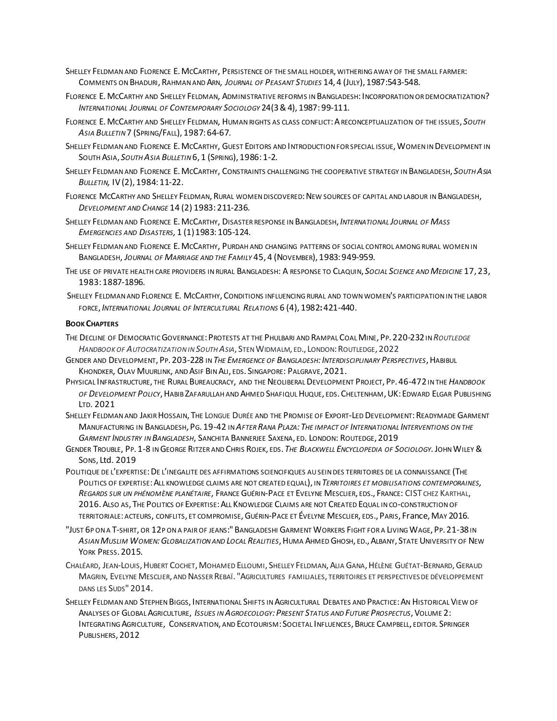- SHELLEY FELDMAN AND FLORENCE E.MCCARTHY, PERSISTENCE OF THE SMALL HOLDER, WITHERING AWAY OF THE SMALL FARMER: COMMENTS ON BHADURI,RAHMAN AND ARN, *JOURNAL OF PEASANT STUDIES* 14, 4 (JULY), 1987:543-548.
- FLORENCE E. MCCARTHY AND SHELLEY FELDMAN, ADMINISTRATIVE REFORMS IN BANGLADESH: INCORPORATION OR DEMOCRATIZATION? *INTERNATIONAL JOURNAL OF CONTEMPORARY SOCIOLOGY* 24(3&4), 1987:99-111.
- FLORENCE E.MCCARTHY AND SHELLEY FELDMAN, HUMAN RIGHTS AS CLASS CONFLICT:ARECONCEPTUALIZATION OF THE ISSUES, *SOUTH ASIA BULLETIN* 7 (SPRING/FALL), 1987:64-67.
- SHELLEY FELDMAN AND FLORENCE E. MCCARTHY, GUEST EDITORS AND INTRODUCTION FOR SPECIAL ISSUE, WOMEN IN DEVELOPMENT IN SOUTH ASIA, *SOUTH ASIA BULLETIN* 6, 1 (SPRING), 1986:1-2.
- SHELLEY FELDMAN AND FLORENCE E.MCCARTHY, CONSTRAINTS CHALLENGING THE COOPERATIVE STRATEGY IN BANGLADESH, *SOUTH ASIA BULLETIN,* IV(2), 1984:11-22.
- FLORENCE MCCARTHY AND SHELLEY FELDMAN, RURAL WOMEN DISCOVERED: NEW SOURCES OF CAPITAL AND LABOUR IN BANGLADESH, *DEVELOPMENT AND CHANGE* 14 (2) 1983:211-236.
- SHELLEY FELDMAN AND FLORENCE E.MCCARTHY, DISASTER RESPONSE IN BANGLADESH, *INTERNATIONAL JOURNAL OF MASS EMERGENCIES AND DISASTERS,* 1 (1)1983:105-124.
- SHELLEY FELDMAN AND FLORENCE E.MCCARTHY, PURDAH AND CHANGING PATTERNS OF SOCIAL CONTROL AMONG RURAL WOMEN IN BANGLADESH, *JOURNAL OF MARRIAGE AND THE FAMILY* 45, 4 (NOVEMBER), 1983:949-959.
- THE USE OF PRIVATE HEALTH CARE PROVIDERS IN RURAL BANGLADESH: A RESPONSE TO CLAQUIN, *SOCIAL SCIENCE AND MEDICINE* 17, 23, 1983:1887-1896.
- SHELLEY FELDMAN AND FLORENCE E. MCCARTHY, CONDITIONS INFLUENCING RURAL AND TOWN WOMEN'S PARTICIPATION IN THE LABOR FORCE, *INTERNATIONAL JOURNAL OF INTERCULTURAL RELATIONS* 6 (4), 1982**:**421-440.

### **BOOK CHAPTERS**

- THE DECLINE OF DEMOCRATIC GOVERNANCE:PROTESTS AT THE PHULBARI AND RAMPAL COAL MINE, PP. 220-232IN *ROUTLEDGE HANDBOOK OF AUTOCRATIZATION IN SOUTH ASIA*, STEN WIDMALM, ED., LONDON:ROUTLEDGE, 2022
- GENDER AND DEVELOPMENT, PP. 203-228 IN *THE EMERGENCE OF BANGLADESH:INTERDISCIPLINARY PERSPECTIVES*,HABIBUL KHONDKER, OLAV MUURLINK, AND ASIF BIN ALI, EDS. SINGAPORE: PALGRAVE, 2021.
- PHYSICAL INFRASTRUCTURE, THE RURAL BUREAUCRACY, AND THE NEOLIBERAL DEVELOPMENT PROJECT, PP. 46-472IN THE *HANDBOOK OF DEVELOPMENT POLICY*,HABIB ZAFARULLAH AND AHMED SHAFIQUL HUQUE, EDS.CHELTENHAM,UK:EDWARD ELGAR PUBLISHING LTD. 2021
- SHELLEY FELDMAN AND JAKIR HOSSAIN, THE LONGUE DURÉE AND THE PROMISE OF EXPORT-LED DEVELOPMENT: READYMADE GARMENT MANUFACTURING IN BANGLADESH, PG. 19-42 IN *AFTER RANA PLAZA:THE IMPACT OF INTERNATIONAL INTERVENTIONS ON THE GARMENT INDUSTRY IN BANGLADESH*, SANCHITA BANNERJEE SAXENA, ED. LONDON: ROUTEDGE, 2019
- GENDER TROUBLE, PP. 1-8 IN GEORGE RITZER AND CHRIS ROJEK, EDS. *THE BLACKWELL ENCYCLOPEDIA OF SOCIOLOGY.*JOHNWILEY& SONS, Ltd. 2019
- POLITIQUE DE L'EXPERTISE: DE L'INEGALITE DES AFFIRMATIONS SCIENCIFIQUES AU SEIN DES TERRITOIRES DE LA CONNAISSANCE (THE POLITICS OF EXPERTISE:ALL KNOWLEDGE CLAIMS ARE NOT CREATED EQUAL), IN *TERRITOIRES ET MOBILISATIONS CONTEMPORAINES, REGARDS SUR UN PHÉNOMÈNE PLANÉTAIRE*, FRANCE GUÉRIN-PACE ET EVELYNE MESCLIER, EDS., FRANCE: CIST CHEZ KARTHAL, 2016.ALSO AS, THE POLITICS OF EXPERTISE:ALL KNOWLEDGE CLAIMS ARE NOT CREATED EQUAL IN CO-CONSTRUCTION OF TERRITORIALE: ACTEURS, CONFLITS, ET COMPROMISE,GUÉRIN-PACE ET ÉVELYNE MESCLIER, EDS., PARIS, France,MAY 2016.
- "JUST 6P ON A T-SHIRT, OR 12P ON A PAIR OF JEANS:" BANGLADESHI GARMENT WORKERS FIGHT FOR A LIVING WAGE, PP. 21-38IN *ASIAN MUSLIM WOMEN:GLOBALIZATION AND LOCAL REALITIES*,HUMA AHMED GHOSH, ED.,ALBANY, STATE UNIVERSITY OF NEW YORK PRESS. 2015.
- CHALÉARD, JEAN-LOUIS,HUBERT COCHET,MOHAMED ELLOUMI, SHELLEY FELDMAN,ALIA GANA,HÉLÈNE GUÉTAT-BERNARD,GERAUD MAGRIN, EVELYNE MESCLIER, AND NASSER REBAÏ. "AGRICULTURES FAMILIALES, TERRITOIRES ET PERSPECTIVES DE DÉVELOPPEMENT DANS LES SUDS" 2014.
- SHELLEY FELDMAN AND STEPHEN BIGGS, INTERNATIONAL SHIFTS IN AGRICULTURAL DEBATES AND PRACTICE: AN HISTORICAL VIEW OF ANALYSES OF GLOBAL AGRICULTURE, *ISSUES IN AGROECOLOGY:PRESENT STATUS AND FUTURE PROSPECTUS*,VOLUME 2: INTEGRATING AGRICULTURE, CONSERVATION, AND ECOTOURISM: SOCIETAL INFLUENCES,BRUCE CAMPBELL, EDITOR. SPRINGER PUBLISHERS, 2012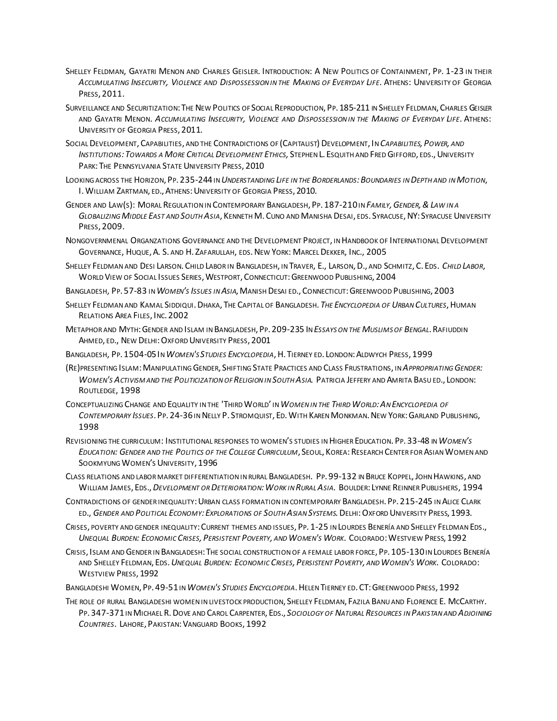- SHELLEY FELDMAN, GAYATRI MENON AND CHARLES GEISLER. INTRODUCTION: A NEW POLITICS OF CONTAINMENT, PP. 1-23 IN THEIR *ACCUMULATING INSECURITY, VIOLENCE AND DISPOSSESSION IN THE MAKING OF EVERYDAY LIFE*. ATHENS: UNIVERSITY OF GEORGIA PRESS, 2011.
- SURVEILLANCE AND SECURITIZATION: THE NEW POLITICS OF SOCIAL REPRODUCTION, PP. 185-211 IN SHELLEY FELDMAN, CHARLES GEISLER AND GAYATRI MENON. *ACCUMULATING INSECURITY, VIOLENCE AND DISPOSSESSION IN THE MAKING OF EVERYDAY LIFE*. ATHENS: UNIVERSITY OF GEORGIA PRESS, 2011.
- SOCIAL DEVELOPMENT, CAPABILITIES, AND THE CONTRADICTIONS OF (CAPITALIST) DEVELOPMENT, IN *CAPABILITIES, POWER, AND INSTITUTIONS:TOWARDS A MORE CRITICAL DEVELOPMENT ETHICS,* STEPHEN L. ESQUITH AND FRED GIFFORD, EDS.,UNIVERSITY PARK: THE PENNSYLVANIA STATE UNIVERSITY PRESS, 2010
- LOOKING ACROSS THE HORIZON, PP. 235-244IN *UNDERSTANDING LIFE IN THE BORDERLANDS:BOUNDARIES IN DEPTH AND IN MOTION*, I. WILLIAM ZARTMAN, ED., ATHENS: UNIVERSITY OF GEORGIA PRESS, 2010.
- GENDER AND LAW(S): MORAL REGULATION IN CONTEMPORARY BANGLADESH, PP. 187-210IN *FAMILY,GENDER,&LAW IN A GLOBALIZING MIDDLE EAST AND SOUTH ASIA*, KENNETH M. CUNO AND MANISHA DESAI, EDS. SYRACUSE,NY: SYRACUSE UNIVERSITY PRESS, 2009.
- NONGOVERNMENAL ORGANZATIONS GOVERNANCE AND THE DEVELOPMENT PROJECT, IN HANDBOOK OF INTERNATIONAL DEVELOPMENT GOVERNANCE, HUQUE,A. S. AND H. ZAFARULLAH, EDS.NEW YORK: MARCEL DEKKER, INC., 2005
- SHELLEY FELDMAN AND DESI LARSON. CHILD LABOR IN BANGLADESH, IN TRAVER, E., LARSON,D., AND SCHMITZ, C. EDS. *CHILD LABOR*, WORLD VIEW OF SOCIAL ISSUES SERIES, WESTPORT, CONNECTICUT: GREENWOOD PUBLISHING, 2004
- BANGLADESH, PP. 57-83 IN *WOMEN'S ISSUES IN ASIA*,MANISH DESAI ED., CONNECTICUT:GREENWOOD PUBLISHING, 2003
- SHELLEY FELDMAN AND KAMAL SIDDIQUI.DHAKA, THE CAPITAL OF BANGLADESH. *THE ENCYCLOPEDIA OF URBAN CULTURES*,HUMAN RELATIONS AREA FILES, INC. 2002
- METAPHOR AND MYTH:GENDER AND ISLAM IN BANGLADESH, PP. 209-235 IN *ESSAYS ON THE MUSLIMS OF BENGAL*.RAFIUDDIN AHMED, ED., NEW DELHI:OXFORD UNIVERSITY PRESS, 2001
- BANGLADESH, PP. 1504-05IN *WOMEN'S STUDIES ENCYCLOPEDIA*,H. TIERNEY ED. LONDON:ALDWYCH PRESS, 1999
- (RE)PRESENTING ISLAM:MANIPULATING GENDER, SHIFTING STATE PRACTICES AND CLASS FRUSTRATIONS, IN *APPROPRIATING GENDER: WOMEN'S ACTIVISM AND THE POLITICIZATION OF RELIGION IN SOUTH ASIA.* PATRICIA JEFFERY AND AMRITA BASU ED., LONDON: ROUTLEDGE, 1998
- CONCEPTUALIZING CHANGE AND EQUALITY IN THE 'THIRD WORLD' IN *WOMEN IN THE THIRD WORLD:AN ENCYCLOPEDIA OF CONTEMPORARY ISSUES*. PP. 24-36IN NELLY P. STROMQUIST, ED.WITH KAREN MONKMAN.NEW YORK:GARLAND PUBLISHING, 1998
- REVISIONING THE CURRICULUM: INSTITUTIONAL RESPONSES TO WOMEN'S STUDIES IN HIGHER EDUCATION. PP. 33-48 IN *WOMEN'S EDUCATION: GENDER AND THE POLITICS OF THE COLLEGE CURRICULUM*, SEOUL, KOREA:RESEARCH CENTER FOR ASIAN WOMEN AND SOOKMYUNG WOMEN'S UNIVERSITY, 1996
- CLASS RELATIONS AND LABOR MARKET DIFFERENTIATION IN RURAL BANGLADESH. PP. 99-132 IN BRUCE KOPPEL,JOHN HAWKINS, AND WILLIAM JAMES, EDS.,*DEVELOPMENT OR DETERIORATION:WORK IN RURAL ASIA.* BOULDER: LYNNE REINNER PUBLISHERS, 1994
- CONTRADICTIONS OF GENDER INEQUALITY:URBAN CLASS FORMATION IN CONTEMPORARY BANGLADESH. PP. 215-245 IN ALICE CLARK ED., *GENDER AND POLITICAL ECONOMY:EXPLORATIONS OF SOUTH ASIAN SYSTEMS.*DELHI:OXFORD UNIVERSITY PRESS, 1993.
- CRISES, POVERTY AND GENDER INEQUALITY:CURRENT THEMES AND ISSUES, PP. 1-25 IN LOURDES BENERÍA AND SHELLEY FELDMAN EDS., UNEQUAL BURDEN: ECONOMIC CRISES, PERSISTENT POVERTY, AND WOMEN'S WORK. COLORADO: WESTVIEW PRESS, 1992
- CRISIS, ISLAM AND GENDER IN BANGLADESH:THE SOCIAL CONSTRUCTION OF A FEMALE LABOR FORCE, PP. 105-130IN LOURDES BENERÍA AND SHELLEY FELDMAN, EDS. UNEQUAL BURDEN: ECONOMIC CRISES, PERSISTENT POVERTY, AND WOMEN'S WORK. COLORADO: WESTVIEW PRESS, 1992
- BANGLADESHI WOMEN, PP. 49-51IN*WOMEN'S STUDIES ENCYCLOPEDIA*.HELEN TIERNEY ED.CT:GREENWOOD PRESS, 1992
- THE ROLE OF RURAL BANGLADESHI WOMEN IN LIVESTOCK PRODUCTION, SHELLEY FELDMAN, FAZILA BANU AND FLORENCE E. MCCARTHY. PP. 347-371IN MICHAEL R.DOVE AND CAROL CARPENTER, EDS., *SOCIOLOGY OF NATURAL RESOURCES IN PAKISTAN AND ADJOINING COUNTRIES*. LAHORE, PAKISTAN:VANGUARD BOOKS, 1992